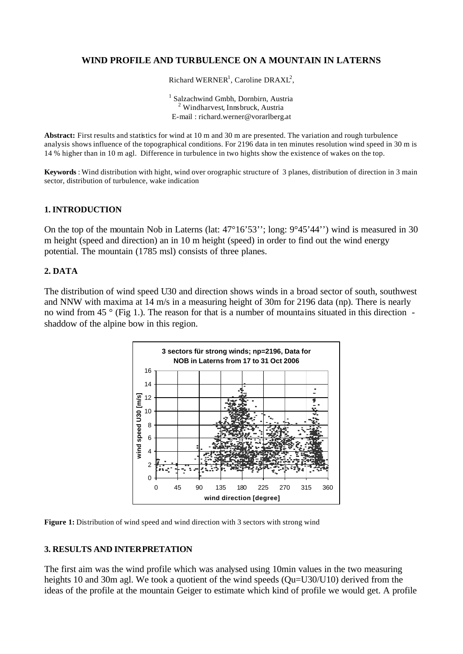# **WIND PROFILE AND TURBULENCE ON A MOUNTAIN IN LATERNS**

Richard WERNER<sup>1</sup>, Caroline DRAXL<sup>2</sup>,

<sup>1</sup> Salzachwind Gmbh, Dornbirn, Austria  $2$  Windharvest, Innsbruck, Austria E-mail : richard.werner@vorarlberg.at

**Abstract:** First results and statistics for wind at 10 m and 30 m are presented. The variation and rough turbulence analysis shows influence of the topographical conditions. For 2196 data in ten minutes resolution wind speed in 30 m is 14 % higher than in 10 m agl. Difference in turbulence in two hights show the existence of wakes on the top.

**Keywords** : Wind distribution with hight, wind over orographic structure of 3 planes, distribution of direction in 3 main sector, distribution of turbulence, wake indication

### **1. INTRODUCTION**

On the top of the mountain Nob in Laterns (lat: 47°16'53''; long: 9°45'44'') wind is measured in 30 m height (speed and direction) an in 10 m height (speed) in order to find out the wind energy potential. The mountain (1785 msl) consists of three planes.

## **2. DATA**

The distribution of wind speed U30 and direction shows winds in a broad sector of south, southwest and NNW with maxima at 14 m/s in a measuring height of 30m for 2196 data (np). There is nearly no wind from 45 ° (Fig 1.). The reason for that is a number of mountains situated in this direction shaddow of the alpine bow in this region.





### **3. RESULTS AND INTERPRETATION**

The first aim was the wind profile which was analysed using 10min values in the two measuring heights 10 and 30m agl. We took a quotient of the wind speeds (Qu=U30/U10) derived from the ideas of the profile at the mountain Geiger to estimate which kind of profile we would get. A profile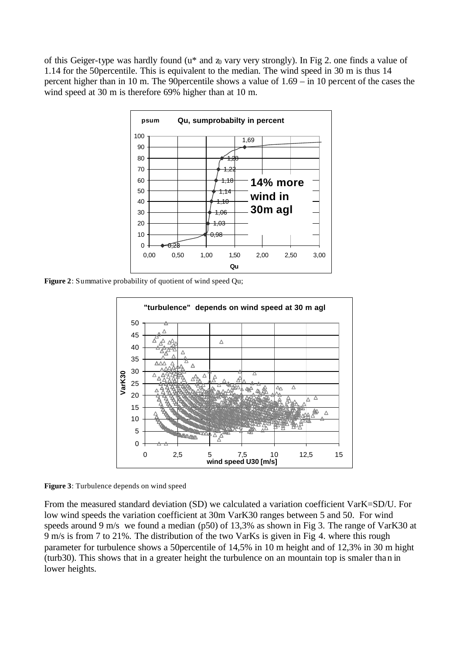of this Geiger-type was hardly found ( $u^*$  and  $z_0$  vary very strongly). In Fig 2. one finds a value of 1.14 for the 50percentile. This is equivalent to the median. The wind speed in 30 m is thus 14 percent higher than in 10 m. The 90percentile shows a value of 1.69 – in 10 percent of the cases the wind speed at 30 m is therefore 69% higher than at 10 m.



**Figure 2**: Summative probability of quotient of wind speed Qu;



**Figure 3**: Turbulence depends on wind speed

From the measured standard deviation (SD) we calculated a variation coefficient VarK=SD/U. For low wind speeds the variation coefficient at 30m VarK30 ranges between 5 and 50. For wind speeds around 9 m/s we found a median (p50) of 13,3% as shown in Fig 3. The range of VarK30 at 9 m/s is from 7 to 21%. The distribution of the two VarKs is given in Fig 4. where this rough parameter for turbulence shows a 50percentile of 14,5% in 10 m height and of 12,3% in 30 m hight (turb30). This shows that in a greater height the turbulence on an mountain top is smaler than in lower heights.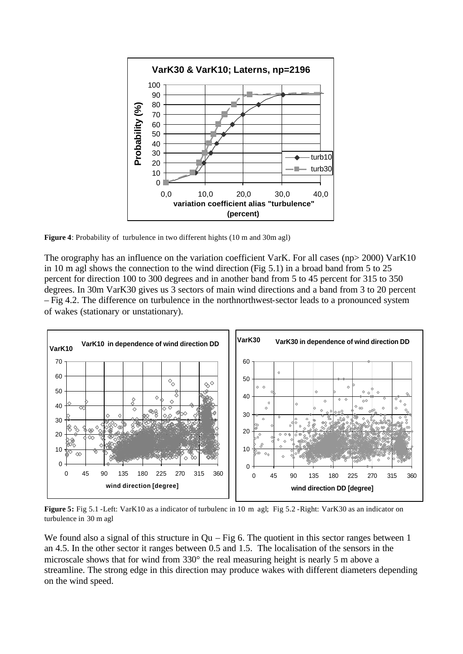

**Figure 4**: Probability of turbulence in two different hights (10 m and 30m agl)

The orography has an influence on the variation coefficient VarK. For all cases (np> 2000) VarK10 in 10 m agl shows the connection to the wind direction (Fig 5.1) in a broad band from 5 to 25 percent for direction 100 to 300 degrees and in another band from 5 to 45 percent for 315 to 350 degrees. In 30m VarK30 gives us 3 sectors of main wind directions and a band from 3 to 20 percent – Fig 4.2. The difference on turbulence in the northnorthwest-sector leads to a pronounced system of wakes (stationary or unstationary).



**Figure 5:** Fig 5.1 -Left: VarK10 as a indicator of turbulenc in 10 m agl; Fig 5.2 -Right: VarK30 as an indicator on turbulence in 30 m agl

We found also a signal of this structure in  $Qu - Fig 6$ . The quotient in this sector ranges between 1 an 4.5. In the other sector it ranges between 0.5 and 1.5. The localisation of the sensors in the microscale shows that for wind from 330° the real measuring height is nearly 5 m above a streamline. The strong edge in this direction may produce wakes with different diameters depending on the wind speed.